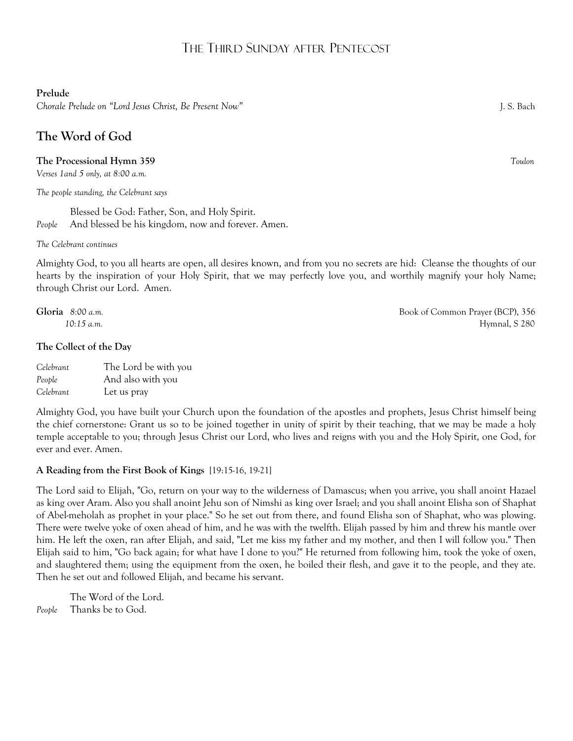# THE THIRD SUNDAY AFTER PENTECOST

## **Prelude**

*Chorale Prelude on "Lord Jesus Christ, Be Present Now"* J. S. Bach

# **The Word of God**

## **The Processional Hymn 359** *Toulon*

*Verses 1and 5 only, at 8:00 a.m.* 

*The people standing, the Celebrant says*

Blessed be God: Father, Son, and Holy Spirit. *People* And blessed be his kingdom, now and forever. Amen.

*The Celebrant continues*

Almighty God, to you all hearts are open, all desires known, and from you no secrets are hid: Cleanse the thoughts of our hearts by the inspiration of your Holy Spirit, that we may perfectly love you, and worthily magnify your holy Name; through Christ our Lord. Amen.

#### **The Collect of the Day**

| Celebrant | The Lord be with you |
|-----------|----------------------|
| People    | And also with you    |
| Celebrant | Let us pray          |

Almighty God, you have built your Church upon the foundation of the apostles and prophets, Jesus Christ himself being the chief cornerstone: Grant us so to be joined together in unity of spirit by their teaching, that we may be made a holy temple acceptable to you; through Jesus Christ our Lord, who lives and reigns with you and the Holy Spirit, one God, for ever and ever. Amen.

## **A Reading from the First Book of Kings** [19:15-16, 19-21]

The Lord said to Elijah, "Go, return on your way to the wilderness of Damascus; when you arrive, you shall anoint Hazael as king over Aram. Also you shall anoint Jehu son of Nimshi as king over Israel; and you shall anoint Elisha son of Shaphat of Abel-meholah as prophet in your place." So he set out from there, and found Elisha son of Shaphat, who was plowing. There were twelve yoke of oxen ahead of him, and he was with the twelfth. Elijah passed by him and threw his mantle over him. He left the oxen, ran after Elijah, and said, "Let me kiss my father and my mother, and then I will follow you." Then Elijah said to him, "Go back again; for what have I done to you?" He returned from following him, took the yoke of oxen, and slaughtered them; using the equipment from the oxen, he boiled their flesh, and gave it to the people, and they ate. Then he set out and followed Elijah, and became his servant.

The Word of the Lord. *People* Thanks be to God.

**Gloria** 8:00 a.m. *Book of Common Prayer (BCP), 356 10:15 a.m.* Hymnal, S 280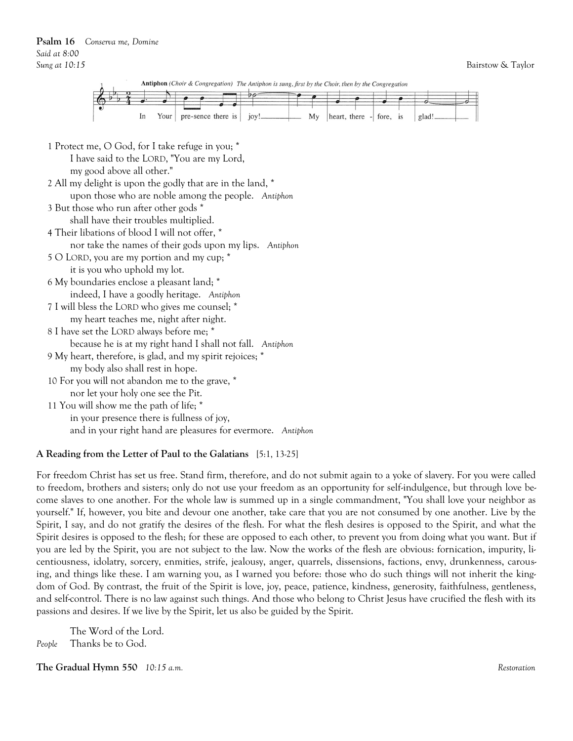

| 1 Protect me, O God, for I take refuge in you; *            |  |  |  |
|-------------------------------------------------------------|--|--|--|
| I have said to the LORD, "You are my Lord,                  |  |  |  |
| my good above all other."                                   |  |  |  |
| 2 All my delight is upon the godly that are in the land, *  |  |  |  |
| upon those who are noble among the people. Antiphon         |  |  |  |
| 3 But those who run after other gods *                      |  |  |  |
| shall have their troubles multiplied.                       |  |  |  |
| 4 Their libations of blood I will not offer, *              |  |  |  |
| nor take the names of their gods upon my lips. Antiphon     |  |  |  |
| 5 O LORD, you are my portion and my cup; *                  |  |  |  |
| it is you who uphold my lot.                                |  |  |  |
| 6 My boundaries enclose a pleasant land; *                  |  |  |  |
| indeed, I have a goodly heritage. Antiphon                  |  |  |  |
| 7 I will bless the LORD who gives me counsel; *             |  |  |  |
| my heart teaches me, night after night.                     |  |  |  |
| 8 I have set the LORD always before me; *                   |  |  |  |
| because he is at my right hand I shall not fall. Antiphon   |  |  |  |
| 9 My heart, therefore, is glad, and my spirit rejoices; *   |  |  |  |
| my body also shall rest in hope.                            |  |  |  |
| 10 For you will not abandon me to the grave, *              |  |  |  |
| nor let your holy one see the Pit.                          |  |  |  |
| 11 You will show me the path of life; *                     |  |  |  |
| in your presence there is fullness of joy,                  |  |  |  |
| and in your right hand are pleasures for evermore. Antiphon |  |  |  |
|                                                             |  |  |  |

#### **A Reading from the Letter of Paul to the Galatians** [5:1, 13-25]

For freedom Christ has set us free. Stand firm, therefore, and do not submit again to a yoke of slavery. For you were called to freedom, brothers and sisters; only do not use your freedom as an opportunity for self-indulgence, but through love become slaves to one another. For the whole law is summed up in a single commandment, "You shall love your neighbor as yourself." If, however, you bite and devour one another, take care that you are not consumed by one another. Live by the Spirit, I say, and do not gratify the desires of the flesh. For what the flesh desires is opposed to the Spirit, and what the Spirit desires is opposed to the flesh; for these are opposed to each other, to prevent you from doing what you want. But if you are led by the Spirit, you are not subject to the law. Now the works of the flesh are obvious: fornication, impurity, licentiousness, idolatry, sorcery, enmities, strife, jealousy, anger, quarrels, dissensions, factions, envy, drunkenness, carousing, and things like these. I am warning you, as I warned you before: those who do such things will not inherit the kingdom of God. By contrast, the fruit of the Spirit is love, joy, peace, patience, kindness, generosity, faithfulness, gentleness, and self-control. There is no law against such things. And those who belong to Christ Jesus have crucified the flesh with its passions and desires. If we live by the Spirit, let us also be guided by the Spirit.

The Word of the Lord. *People* Thanks be to God.

**The Gradual Hymn 550** *10:15 a.m. Restoration*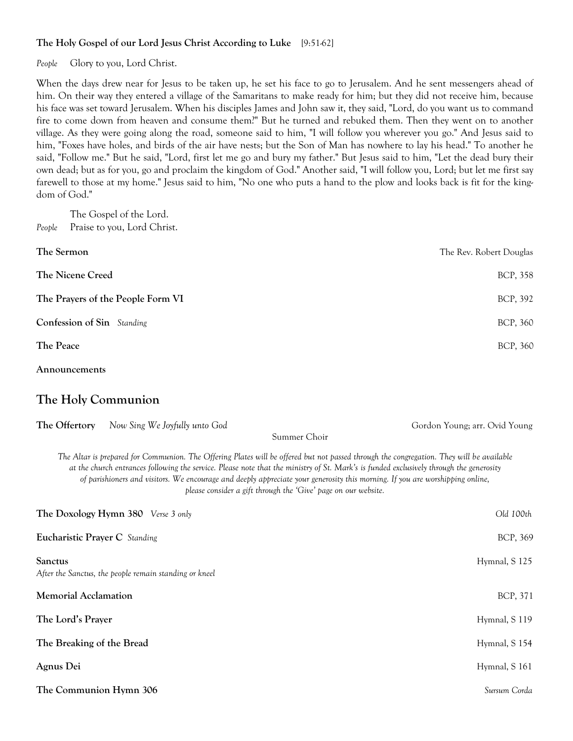## **The Holy Gospel of our Lord Jesus Christ According to Luke** [9:51-62]

*People* Glory to you, Lord Christ.

When the days drew near for Jesus to be taken up, he set his face to go to Jerusalem. And he sent messengers ahead of him. On their way they entered a village of the Samaritans to make ready for him; but they did not receive him, because his face was set toward Jerusalem. When his disciples James and John saw it, they said, "Lord, do you want us to command fire to come down from heaven and consume them?" But he turned and rebuked them. Then they went on to another village. As they were going along the road, someone said to him, "I will follow you wherever you go." And Jesus said to him, "Foxes have holes, and birds of the air have nests; but the Son of Man has nowhere to lay his head." To another he said, "Follow me." But he said, "Lord, first let me go and bury my father." But Jesus said to him, "Let the dead bury their own dead; but as for you, go and proclaim the kingdom of God." Another said, "I will follow you, Lord; but let me first say farewell to those at my home." Jesus said to him, "No one who puts a hand to the plow and looks back is fit for the kingdom of God."

The Gospel of the Lord. *People* Praise to you, Lord Christ.

| The Sermon                        | The Rev. Robert Douglas |
|-----------------------------------|-------------------------|
| The Nicene Creed                  | BCP, 358                |
| The Prayers of the People Form VI | BCP, 392                |
| Confession of Sin Standing        | BCP, 360                |
| The Peace                         | BCP, 360                |
|                                   |                         |

## **Announcements**

## **The Holy Communion**

| The Offertory                 | Now Sing We Joyfully unto God                                                                                                                                                                                                                                                                                                                                                                                                                                                          | Gordon Young; arr. Ovid Young |
|-------------------------------|----------------------------------------------------------------------------------------------------------------------------------------------------------------------------------------------------------------------------------------------------------------------------------------------------------------------------------------------------------------------------------------------------------------------------------------------------------------------------------------|-------------------------------|
|                               | Summer Choir                                                                                                                                                                                                                                                                                                                                                                                                                                                                           |                               |
|                               | The Altar is prepared for Communion. The Offering Plates will be offered but not passed through the congregation. They will be available<br>at the church entrances following the service. Please note that the ministry of St. Mark's is funded exclusively through the generosity<br>of parishioners and visitors. We encourage and deeply appreciate your generosity this morning. If you are worshipping online,<br>please consider a gift through the 'Give' page on our website. |                               |
|                               | The Doxology Hymn 380 Verse 3 only                                                                                                                                                                                                                                                                                                                                                                                                                                                     | Old 100th                     |
| Eucharistic Prayer C Standing |                                                                                                                                                                                                                                                                                                                                                                                                                                                                                        | BCP, 369                      |
| <b>Sanctus</b>                | After the Sanctus, the people remain standing or kneel                                                                                                                                                                                                                                                                                                                                                                                                                                 | Hymnal, S 125                 |
| <b>Memorial Acclamation</b>   |                                                                                                                                                                                                                                                                                                                                                                                                                                                                                        | BCP, 371                      |
| The Lord's Prayer             |                                                                                                                                                                                                                                                                                                                                                                                                                                                                                        | Hymnal, S 119                 |
| The Breaking of the Bread     |                                                                                                                                                                                                                                                                                                                                                                                                                                                                                        | Hymnal, S 154                 |
| Agnus Dei                     |                                                                                                                                                                                                                                                                                                                                                                                                                                                                                        | Hymnal, S 161                 |
| The Communion Hymn 306        |                                                                                                                                                                                                                                                                                                                                                                                                                                                                                        | Sursum Corda                  |